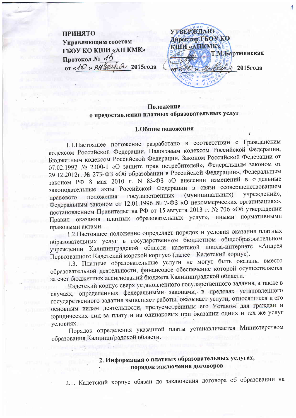**УТВЕРЖДАЮ ПРИНЯТО** Директор ГБОУ КО Управляющим советом **RIIM «ATIKMK»** ГБОУ КО КШИ «АП КМК» Т.М.Бартминская Протокол № 15 OT «10» SH Coechia 2015roga **Геля 2015года** 

## Положение о предоставлении платных образовательных услуг

### 1.Общие положения

1.1. Настоящее положение разработано в соответствии с Гражданским кодексом Российской Федерации, Налоговым кодексом Российской Федерации, Бюджетным кодексом Российской Федерации, Законом Российской Федерации от 07.02.1992 № 2300-1 «О защите прав потребителей», Федеральным законом от 29.12.2012г. № 273-ФЗ «Об образовании в Российской Федерации», Федеральным законом РФ 8 мая 2010 г. N 83-ФЗ «О внесении изменений в отдельные законодательные акты Российской Федерации в связи ссовершенствованием правового положения государственных (муниципальных) vчреждений», Федеральным законом от 12.01.1996 № 7-ФЗ «О некоммерческих организациях», постановлением Правительства РФ от 15 августа 2013 г. № 706 «Об утверждении Правил оказания платных образовательных услуг», иными нормативными правовыми актами.

1.2. Настоящее положение определяет порядок и условия оказания платных образовательных услуг в государственном бюджетном общеобразовательном учреждении Калининградской области кадетской школа-интернате «Андрея Первозванного Кадетский морской корпус» (далее - Кадетский корпус).

1.3. Платные образовательные услуги не могут быть оказаны вместо образовательной деятельности, финансовое обеспечение которой осуществляется за счет бюджетных ассигнований бюджета Калининградской области.

Кадетский корпус сверх установленного государственного задания, а также в случаях, определенных федеральными законами, в пределах установленного государственного задания выполняет работы, оказывает услуги, относящиеся к его основным видам деятельности, предусмотренным его Уставом для граждан и юридических лиц за плату и на одинаковых при оказании одних и тех же услуг условиях.

Порядок определения указанной платы устанавливается Министерством образования Калининградской области.

**Pulling** 

# 2. Информация о платных образовательных услугах, порядок заключения договоров

2.1. Кадетский корпус обязан до заключения договора об образовании на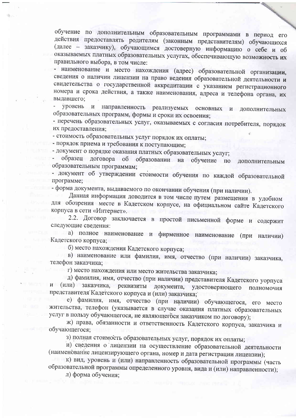обучение по дополнительным образовательным программами в период его действия предоставлять родителям (законным представителям) обучающихся (далее - заказчику), обучающимся достоверную информацию о себе и об оказываемых платных образовательных услугах, обеспечивающую возможность их правильного выбора, в том числе:

- наименование и место нахождения (адрес) образовательной организации, сведения о наличии лицензии на право ведения образовательной деятельности и свидетельства о государственной аккредитации с указанием регистрационного номера и срока действия, а также наименования, адреса и телефона органа, их выдавшего;

направленность реализуемых основных и дополнительных уровень и образовательных программ, формы и сроки их освоения;

- перечень образовательных услуг, оказываемых с согласия потребителя, порядок их предоставления:

- стоимость образовательных услуг порядок их оплаты;

- порядок приема и требования к поступающим;

- документ о порядке оказания платных образовательных услуг;

образец договора об образовании на обучение по дополнительным образовательным программам;

- документ об утверждении стоимости обучения по каждой образовательной программе;

- форма документа, выдаваемого по окончании обучения (при наличии).

Данная информация доводится в том числе путем размещения в удобном для обозрения месте в Кадетском корпусе, на официальном сайте Кадетского корпуса в сети «Интернет».

2.2. Договор заключается в простой письменной форме и содержит следующие сведения:

а) полное наименование и фирменное наименование (при наличии) Кадетского корпуса;

б) место нахождения Кадетского корпуса;

в) наименование или фамилия, имя, отчество (при наличии) заказчика, телефон заказчика;

г) место нахождения или место жительства заказчика;

д) фамилия, имя, отчество (при наличии) представителя Кадетского уорпуса и (или) заказчика, реквизиты документа, удостоверяющего полномочия представителя Кадетского корпуса и (или) заказчика;

е) фамилия, имя, отчество (при наличии) обучающегося, его место жительства, телефон (указывается в случае оказания платных образовательных услуг в пользу обучающегося, не являющегося заказчиком по договору);

ж) права, обязанности и ответственность Кадетского корпуса, заказчика и обучающегося:

з) полная стоимость образовательных услуг, порядок их оплаты;

и) сведения о лицензии на осуществление образовательной деятельности (наименование лицензирующего органа, номер и дата регистрации лицензии);

к) вид, уровень и (или) направленность образовательной программы (часть образовательной программы определенного уровня, вида и (или) направленности);

л) форма обучения;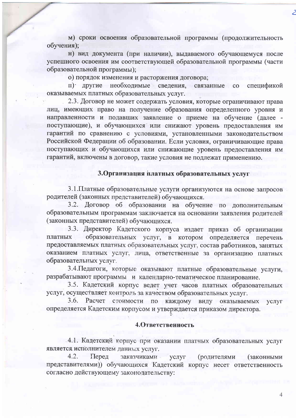м) сроки освоения образовательной программы (продолжительность обучения);

н) вид документа (при наличии), выдаваемого обучающемуся после успешного освоения им соответствующей образовательной программы (части образовательной программы);

о) порядок изменения и расторжения договора;

п) другие необходимые сведения, связанные со спецификой оказываемых платных образовательных услуг.

2.3. Договор не может содержать условия, которые ограничивают права лиц, имеющих право на получение образования определенного уровня и направленности и подавших заявление о приеме на обучение (далее поступающие), и обучающихся или снижают уровень предоставления им гарантий по сравнению с условиями, установленными законодательством Российской Федерации об образовании. Если условия, ограничивающие права поступающих и обучающихся или снижающие уровень предоставления им гарантий, включены в договор, такие условия не подлежат применению.

## 3. Организация платных образовательных услуг

3.1. Платные образовательные услуги организуются на основе запросов родителей (законных представителей) обучающихся.

3.2. Договор об образовании на обучение по дополнительным образовательным программам заключается на основании заявления родителей (законных представителей) обучающихся.

3.3. Директор Кадетского корпуса издает приказ об организации образовательных услуг, в котором определяется платных перечень предоставляемых платных образовательных услуг, состав работников, занятых оказанием платных услуг, лица, ответственные за организацию платных образовательных услуг.

3.4. Педагоги, которые оказывают платные образовательные услуги, разрабатывают программы и календарно-тематическое планирование.

3.5. Кадетский корпус ведет учет часов платных образовательных услуг, осуществляет контроль за качеством образовательных услуг.

Расчет стоимости по каждому виду оказываемых  $3.6.$ **VCJIVT** определяется Кадетским корпусом и утверждается приказом директора.

#### 4. Ответственность

4.1. Кадетский корпус при оказании платных образовательных услуг является исполнителем данных услуг.

 $4.2.$ Перед заказчиками (родителями услуг (законными представителями)) обучающихся Кадетский корпус несет ответственность согласно действующему законодательству:

 $\overline{4}$